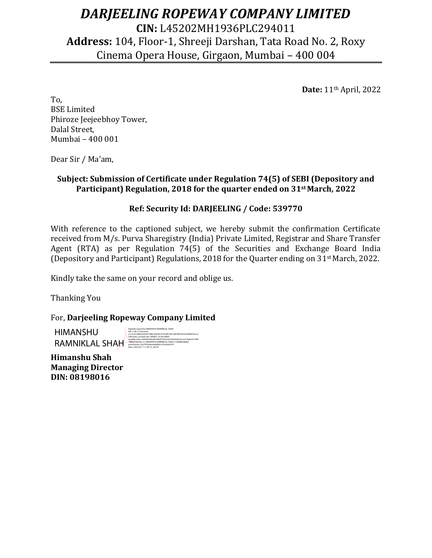## *DARJEELING ROPEWAY COMPANY LIMITED*

**CIN:** L45202MH1936PLC294011 **Address:** 104, Floor-1, Shreeji Darshan, Tata Road No. 2, Roxy Cinema Opera House, Girgaon, Mumbai – 400 004

**Date:** 11th April, 2022

To, BSE Limited Phiroze Jeejeebhoy Tower, Dalal Street, Mumbai – 400 001

Dear Sir / Ma'am,

**Subject: Submission of Certificate under Regulation 74(5) of SEBI (Depository and Participant) Regulation, 2018 for the quarter ended on 31stMarch, 2022**

## **Ref: Security Id: DARJEELING / Code: 539770**

With reference to the captioned subject, we hereby submit the confirmation Certificate received from M/s. Purva Sharegistry (India) Private Limited, Registrar and Share Transfer Agent (RTA) as per Regulation 74(5) of the Securities and Exchange Board India (Depository and Participant) Regulations, 2018 for the Quarter ending on 31st March, 2022.

Kindly take the same on your record and oblige us.

Thanking You

For, **Darjeeling Ropeway Company Limited**

HIMANSHU  $\text{RAMNIKLAL SHA}$   $\text{SHAH}$   $\text{Higgs}$   $\text{Higgs}$  can entimidated in the second proposition  $\text{Higgs}$  and  $\text{Higgs}$  and  $\text{Higgs}$  and  $\text{Higgs}$  and  $\text{Higgs}$  and  $\text{Higgs}$  and  $\text{Higgs}$  and  $\text{Higgs}$  and  $\text{Higgs}$  and  $\text{Higgs}$  and  $\text{Higgs}$ 

Digitally signed by HIMANSHU RAMNIKLAL SHAH DN: c=IN, o=Personal, 2.5.4.20=d085d23459190b33603bc2743c8f199e1087f9879935e4900978ccec 5d61be63, postalCode=380007, st=GUJARAT, serialNumber=9e84af538aa853982f37b5a39c3562bd4c63c2c419a8c9315f46 Date: 2022.04.11 11:49:14 +05'30'

**Himanshu Shah Managing Director DIN: 08198016**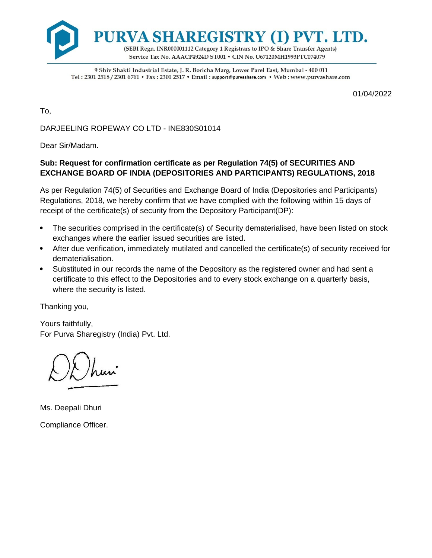

9 Shiv Shakti Industrial Estate, J. R. Boricha Marg, Lower Parel East, Mumbai - 400 011 Tel: 2301 2518 / 2301 6761 • Fax: 2301 2517 • Email: support@purvashare.com • Web: www.purvashare.com

01/04/2022

To,

DARJEELING ROPEWAY CO LTD - INE830S01014

Dear Sir/Madam.

## **Sub: Request for confirmation certificate as per Regulation 74(5) of SECURITIES AND EXCHANGE BOARD OF INDIA (DEPOSITORIES AND PARTICIPANTS) REGULATIONS, 2018**

As per Regulation 74(5) of Securities and Exchange Board of India (Depositories and Participants) Regulations, 2018, we hereby confirm that we have complied with the following within 15 days of receipt of the certificate(s) of security from the Depository Participant(DP):

- The securities comprised in the certificate(s) of Security dematerialised, have been listed on stock exchanges where the earlier issued securities are listed.
- After due verification, immediately mutilated and cancelled the certificate(s) of security received for dematerialisation.
- Substituted in our records the name of the Depository as the registered owner and had sent a certificate to this effect to the Depositories and to every stock exchange on a quarterly basis, where the security is listed.

Thanking you,

Yours faithfully, For Purva Sharegistry (India) Pvt. Ltd.

Ms. Deepali Dhuri Compliance Officer.